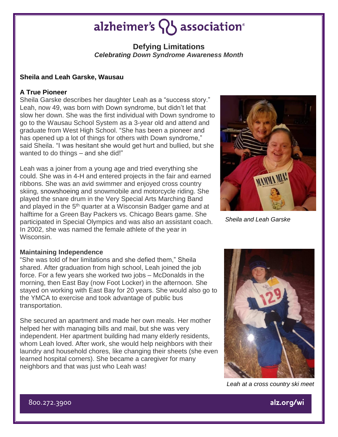## alzheimer's  $\{ \}$  association®

### **Defying Limitations** *Celebrating Down Syndrome Awareness Month*

#### **Sheila and Leah Garske, Wausau**

#### **A True Pioneer**

Sheila Garske describes her daughter Leah as a "success story." Leah, now 49, was born with Down syndrome, but didn't let that slow her down. She was the first individual with Down syndrome to go to the Wausau School System as a 3-year old and attend and graduate from West High School. "She has been a pioneer and has opened up a lot of things for others with Down syndrome," said Sheila. "I was hesitant she would get hurt and bullied, but she wanted to do things – and she did!"

Leah was a joiner from a young age and tried everything she could. She was in 4-H and entered projects in the fair and earned ribbons. She was an avid swimmer and enjoyed cross country skiing, snowshoeing and snowmobile and motorcycle riding. She played the snare drum in the Very Special Arts Marching Band and played in the 5<sup>th</sup> quarter at a Wisconsin Badger game and at halftime for a Green Bay Packers vs. Chicago Bears game. She participated in Special Olympics and was also an assistant coach. In 2002, she was named the female athlete of the year in Wisconsin.

#### **Maintaining Independence**

"She was told of her limitations and she defied them," Sheila shared. After graduation from high school, Leah joined the job force. For a few years she worked two jobs – McDonalds in the morning, then East Bay (now Foot Locker) in the afternoon. She stayed on working with East Bay for 20 years. She would also go to the YMCA to exercise and took advantage of public bus transportation.

She secured an apartment and made her own meals. Her mother helped her with managing bills and mail, but she was very independent. Her apartment building had many elderly residents, whom Leah loved. After work, she would help neighbors with their laundry and household chores, like changing their sheets (she even learned hospital corners). She became a caregiver for many neighbors and that was just who Leah was!

*MAMMA MIA* 

*Sheila and Leah Garske*

*Leah at a cross country ski meet*

800.272.3900



alz.org/wi